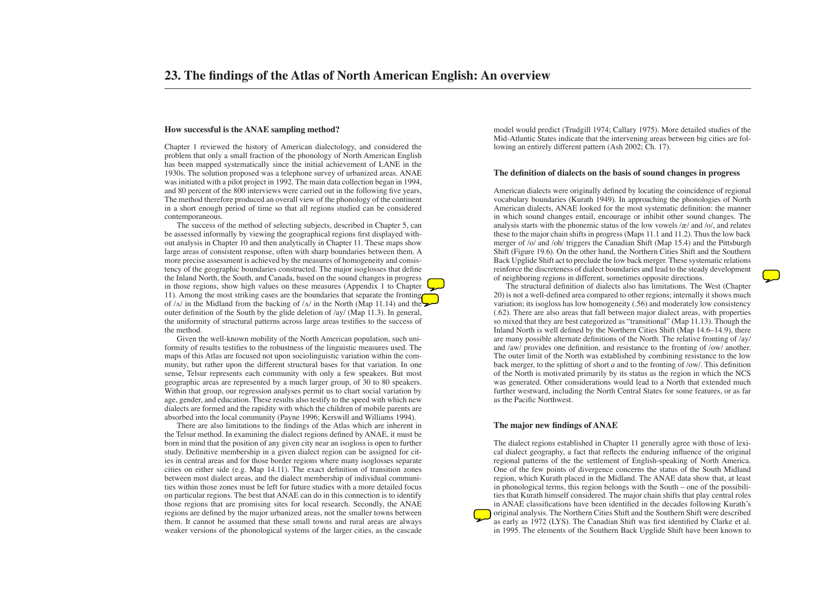#### **How successful is the ANAE sampling method?**

Chapter 1 reviewed the history of American dialectology, and considered the problem that only a small fraction of the phonology of North American English has been mapped systematically since the initial achievement of LANE in the 1930s. The solution proposed was a telephone survey of urbanized areas. ANAE was initiated with a pilot project in 1992. The main data collection began in 1994, and 80 percent of the 800 interviews were carried out in the following five years, The method therefore produced an overall view of the phonology of the continent in a short enough period of time so that all regions studied can be considered contemporaneous.

The success of the method of selecting subjects, described in Chapter 5, can be assessed informally by viewing the geographical regions first displayed without analysis in Chapter 10 and then analytically in Chapter 11. These maps show large areas of consistent response, often with sharp boundaries between them. A more precise assessment is achieved by the measures of homogeneity and consistency of the geographic boundaries constructed. The major isoglosses that define the Inland North, the South, and Canada, based on the sound changes in progress in those regions, show high values on these measures (Appendix 1 to Chapter 11). Among the most striking cases are the boundaries that separate the fronting of  $/\Delta$  in the Midland from the backing of  $/\Delta$  in the North (Map 11.14) and the outer definition of the South by the glide deletion of /ay/ (Map 11.3). In general, the uniformity of structural patterns across large areas testifies to the success of the method.

Given the well-known mobility of the North American population, such uniformity of results testifies to the robustness of the linguistic measures used. The maps of this Atlas are focused not upon sociolinguistic variation within the community, but rather upon the different structural bases for that variation. In one sense, Telsur represents each community with only a few speakers. But most geographic areas are represented by a much larger group, of 30 to 80 speakers. Within that group, our regression analyses permit us to chart social variation by age, gender, and education. These results also testify to the speed with which new dialects are formed and the rapidity with which the children of mobile parents are absorbed into the local community (Payne 1996; Kerswill and Williams 1994).

There are also limitations to the findings of the Atlas which are inherent in the Telsur method. In examining the dialect regions defined by ANAE, it must be born in mind that the position of any given city near an isogloss is open to further study. Definitive membership in a given dialect region can be assigned for cities in central areas and for those border regions where many isoglosses separate cities on either side (e.g. Map 14.11). The exact definition of transition zones between most dialect areas, and the dialect membership of individual communities within those zones must be left for future studies with a more detailed focus on particular regions. The best that ANAE can do in this connection is to identify those regions that are promising sites for local research. Secondly, the ANAE regions are defined by the major urbanized areas, not the smaller towns between them. It cannot be assumed that these small towns and rural areas are always weaker versions of the phonological systems of the larger cities, as the cascade model would predict (Trudgill 1974; Callary 1975). More detailed studies of the Mid-Atlantic States indicate that the intervening areas between big cities are following an entirely different pattern (Ash 2002; Ch. 17).

#### **The definition of dialects on the basis of sound changes in progress**

American dialects were originally defined by locating the coincidence of regional vocabulary boundaries (Kurath 1949). In approaching the phonologies of North American dialects, ANAE looked for the most systematic definition: the manner in which sound changes entail, encourage or inhibit other sound changes. The analysis starts with the phonemic status of the low vowels /æ/ and /o/, and relates these to the major chain shifts in progress (Maps 11.1 and 11.2). Thus the low back merger of /o/ and /oh/ triggers the Canadian Shift (Map 15.4) and the Pittsburgh Shift (Figure 19.6). On the other hand, the Northern Cities Shift and the Southern Back Upglide Shift act to preclude the low back merger. These systematic relations reinforce the discreteness of dialect boundaries and lead to the steady development of neighboring regions in different, sometimes opposite directions.

The structural definition of dialects also has limitations. The West (Chapter 20) is not a well-defined area compared to other regions; internally it shows much variation; its isogloss has low homogeneity (.56) and moderately low consistency (.62). There are also areas that fall between major dialect areas, with properties so mixed that they are best categorized as "transitional" (Map 11.13). Though the Inland North is well defined by the Northern Cities Shift (Map 14.6–14.9), there are many possible alternate definitions of the North. The relative fronting of /ay/ and /aw/ provides one definition, and resistance to the fronting of /ow/ another. The outer limit of the North was established by combining resistance to the low back merger, to the splitting of short *a* and to the fronting of /ow/. This definition of the North is motivated primarily by its status as the region in which the NCS was generated. Other considerations would lead to a North that extended much further westward, including the North Central States for some features, or as far as the Pacific Northwest.

## **The major new findings of ANAE**

The dialect regions established in Chapter 11 generally agree with those of lexical dialect geography, a fact that reflects the enduring influence of the original regional patterns of the the settlement of English-speaking of North America. One of the few points of divergence concerns the status of the South Midland region, which Kurath placed in the Midland. The ANAE data show that, at least in phonological terms, this region belongs with the South – one of the possibilities that Kurath himself considered. The major chain shifts that play central roles in ANAE classifications have been identified in the decades following Kurath's original analysis. The Northern Cities Shift and the Southern Shift were described as early as 1972 (LYS). The Canadian Shift was first identified by Clarke et al. in 1995. The elements of the Southern Back Upglide Shift have been known to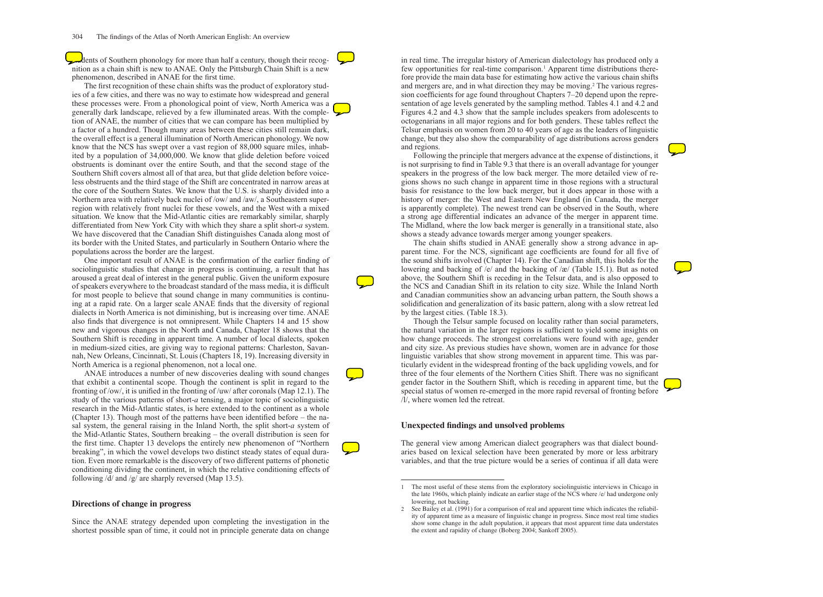$\mathcal{L}$  tents of Southern phonology for more than half a century, though their recognition as a chain shift is new to ANAE. Only the Pittsburgh Chain Shift is a new phenomenon, described in ANAE for the first time.

The first recognition of these chain shifts was the product of exploratory studies of a few cities, and there was no way to estimate how widespread and general these processes were. From a phonological point of view, North America was a generally dark landscape, relieved by a few illuminated areas. With the completion of ANAE, the number of cities that we can compare has been multiplied by a factor of a hundred. Though many areas between these cities still remain dark, the overall effect is a general illumination of North American phonology. We now know that the NCS has swept over a vast region of 88,000 square miles, inhabited by a population of 34,000,000. We know that glide deletion before voiced obstruents is dominant over the entire South, and that the second stage of the Southern Shift covers almost all of that area, but that glide deletion before voiceless obstruents and the third stage of the Shift are concentrated in narrow areas at the core of the Southern States. We know that the U.S. is sharply divided into a Northern area with relatively back nuclei of /ow/ and /aw/, a Southeastern superregion with relatively front nuclei for these vowels, and the West with a mixed situation. We know that the Mid-Atlantic cities are remarkably similar, sharply differentiated from New York City with which they share a split short-*a* system. We have discovered that the Canadian Shift distinguishes Canada along most of its border with the United States, and particularly in Southern Ontario where the populations across the border are the largest.

One important result of ANAE is the confirmation of the earlier finding of sociolinguistic studies that change in progress is continuing, a result that has aroused a great deal of interest in the general public. Given the uniform exposure of speakers everywhere to the broadcast standard of the mass media, it is difficult for most people to believe that sound change in many communities is continuing at a rapid rate. On a larger scale ANAE finds that the diversity of regional dialects in North America is not diminishing, but is increasing over time. ANAE also finds that divergence is not omnipresent. While Chapters 14 and 15 show new and vigorous changes in the North and Canada, Chapter 18 shows that the Southern Shift is receding in apparent time. A number of local dialects, spoken in medium-sized cities, are giving way to regional patterns: Charleston, Savannah, New Orleans, Cincinnati, St. Louis (Chapters 18, 19). Increasing diversity in North America is a regional phenomenon, not a local one.

ANAE introduces a number of new discoveries dealing with sound changes that exhibit a continental scope. Though the continent is split in regard to the fronting of /ow/, it is unified in the fronting of /uw/ after coronals (Map 12.1). The study of the various patterns of short-*a* tensing, a major topic of sociolinguistic research in the Mid-Atlantic states, is here extended to the continent as a whole (Chapter 13). Though most of the patterns have been identified before – the nasal system, the general raising in the Inland North, the split short-*a* system of the Mid-Atlantic States, Southern breaking – the overall distribution is seen for the first time. Chapter 13 develops the entirely new phenomenon of "Northern breaking", in which the vowel develops two distinct steady states of equal duration. Even more remarkable is the discovery of two different patterns of phonetic conditioning dividing the continent, in which the relative conditioning effects of following /d/ and /g/ are sharply reversed (Map 13.5).

## **Directions of change in progress**

Since the ANAE strategy depended upon completing the investigation in the shortest possible span of time, it could not in principle generate data on change in real time. The irregular history of American dialectology has produced only a few opportunities for real-time comparison.<sup>1</sup> Apparent time distributions therefore provide the main data base for estimating how active the various chain shifts and mergers are, and in what direction they may be moving.<sup>2</sup> The various regression coefficients for age found throughout Chapters 7–20 depend upon the representation of age levels generated by the sampling method. Tables 4.1 and 4.2 and Figures 4.2 and 4.3 show that the sample includes speakers from adolescents to octogenarians in all major regions and for both genders. These tables reflect the Telsur emphasis on women from 20 to 40 years of age as the leaders of linguistic change, but they also show the comparability of age distributions across genders and regions.

Following the principle that mergers advance at the expense of distinctions, it is not surprising to find in Table 9.3 that there is an overall advantage for younger speakers in the progress of the low back merger. The more detailed view of regions shows no such change in apparent time in those regions with a structural basis for resistance to the low back merger, but it does appear in those with a history of merger: the West and Eastern New England (in Canada, the merger is apparently complete). The newest trend can be observed in the South, where a strong age differential indicates an advance of the merger in apparent time. The Midland, where the low back merger is generally in a transitional state, also shows a steady advance towards merger among younger speakers.

The chain shifts studied in ANAE generally show a strong advance in apparent time. For the NCS, significant age coefficients are found for all five of the sound shifts involved (Chapter 14). For the Canadian shift, this holds for the lowering and backing of /e/ and the backing of /æ/ (Table 15.1). But as noted above, the Southern Shift is receding in the Telsur data, and is also opposed to the NCS and Canadian Shift in its relation to city size. While the Inland North and Canadian communities show an advancing urban pattern, the South shows a solidification and generalization of its basic pattern, along with a slow retreat led by the largest cities. (Table 18.3).

Though the Telsur sample focused on locality rather than social parameters, the natural variation in the larger regions is sufficient to yield some insights on how change proceeds. The strongest correlations were found with age, gender and city size. As previous studies have shown, women are in advance for those linguistic variables that show strong movement in apparent time. This was particularly evident in the widespread fronting of the back upgliding vowels, and for three of the four elements of the Northern Cities Shift. There was no significant gender factor in the Southern Shift, which is receding in apparent time, but the special status of women re-emerged in the more rapid reversal of fronting before /l/, where women led the retreat.

# **Unexpected findings and unsolved problems**

The general view among American dialect geographers was that dialect boundaries based on lexical selection have been generated by more or less arbitrary variables, and that the true picture would be a series of continua if all data were



- 
- 
- 
- 
- 
- 
- 
- 
- 
- 
- 
- 
- 
- 
- 
- 
- 
- 
- 
- 
- 
- 
- 

<sup>1</sup> The most useful of these stems from the exploratory sociolinguistic interviews in Chicago in the late 1960s, which plainly indicate an earlier stage of the NCS where /e/ had undergone only lowering, not backing.

<sup>2</sup> See Bailey et al. (1991) for a comparison of real and apparent time which indicates the reliability of apparent time as a measure of linguistic change in progress. Since most real time studies show some change in the adult population, it appears that most apparent time data understates the extent and rapidity of change (Boberg 2004; Sankoff 2005).